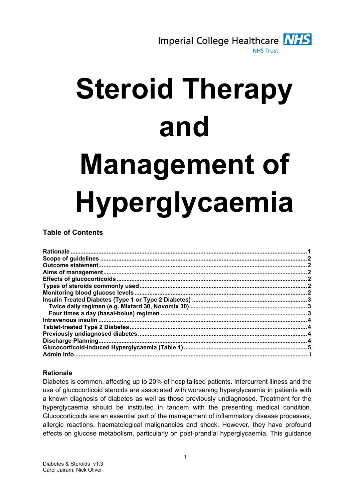

# Steroid Therapy and Management of Hyperglycaemia

# Table of Contents

| Admin Info. |  |
|-------------|--|
|             |  |

## **Rationale**

Diabetes is common, affecting up to 20% of hospitalised patients. Intercurrent illness and the use of glucocorticoid steroids are associated with worsening hyperglycaemia in patients with a known diagnosis of diabetes as well as those previously undiagnosed. Treatment for the hyperglycaemia should be instituted in tandem with the presenting medical condition. Glucocorticoids are an essential part of the management of inflammatory disease processes, allergic reactions, haematological malignancies and shock. However, they have profound effects on glucose metabolism, particularly on post-prandial hyperglycaemia. This guidance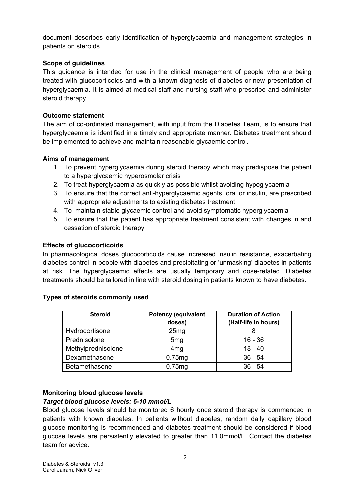document describes early identification of hyperglycaemia and management strategies in patients on steroids.

#### Scope of quidelines

This guidance is intended for use in the clinical management of people who are being treated with glucocorticoids and with a known diagnosis of diabetes or new presentation of hyperglycaemia. It is aimed at medical staff and nursing staff who prescribe and administer steroid therapy.

#### Outcome statement

The aim of co-ordinated management, with input from the Diabetes Team, is to ensure that hyperglycaemia is identified in a timely and appropriate manner. Diabetes treatment should be implemented to achieve and maintain reasonable glycaemic control.

#### Aims of management

- 1. To prevent hyperglycaemia during steroid therapy which may predispose the patient to a hyperglycaemic hyperosmolar crisis
- 2. To treat hyperglycaemia as quickly as possible whilst avoiding hypoglycaemia
- 3. To ensure that the correct anti-hyperglycaemic agents, oral or insulin, are prescribed with appropriate adjustments to existing diabetes treatment
- 4. To maintain stable glycaemic control and avoid symptomatic hyperglycaemia
- 5. To ensure that the patient has appropriate treatment consistent with changes in and cessation of steroid therapy

#### Effects of glucocorticoids

In pharmacological doses glucocorticoids cause increased insulin resistance, exacerbating diabetes control in people with diabetes and precipitating or 'unmasking' diabetes in patients at risk. The hyperglycaemic effects are usually temporary and dose-related. Diabetes treatments should be tailored in line with steroid dosing in patients known to have diabetes.

| <b>Steroid</b>     | <b>Potency (equivalent</b><br>doses) | <b>Duration of Action</b><br>(Half-life in hours) |
|--------------------|--------------------------------------|---------------------------------------------------|
| Hydrocortisone     | 25mg                                 |                                                   |
| Prednisolone       | 5 <sub>mg</sub>                      | $16 - 36$                                         |
| Methylprednisolone | 4 <sub>mg</sub>                      | $18 - 40$                                         |
| Dexamethasone      | 0.75mg                               | $36 - 54$                                         |
| Betamethasone      | 0.75mg                               | $36 - 54$                                         |

#### Types of steroids commonly used

#### Monitoring blood glucose levels Target blood glucose levels: 6-10 mmol/L

Blood glucose levels should be monitored 6 hourly once steroid therapy is commenced in patients with known diabetes. In patients without diabetes, random daily capillary blood glucose monitoring is recommended and diabetes treatment should be considered if blood glucose levels are persistently elevated to greater than 11.0mmol/L. Contact the diabetes team for advice.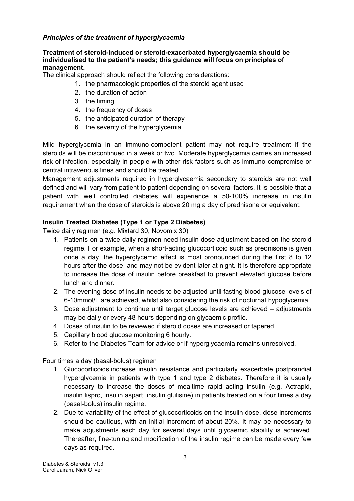## Principles of the treatment of hyperglycaemia

#### Treatment of steroid-induced or steroid-exacerbated hyperglycaemia should be individualised to the patient's needs; this guidance will focus on principles of management.

The clinical approach should reflect the following considerations:

- 1. the pharmacologic properties of the steroid agent used
- 2. the duration of action
- 3. the timing
- 4. the frequency of doses
- 5. the anticipated duration of therapy
- 6. the severity of the hyperglycemia

Mild hyperglycemia in an immuno-competent patient may not require treatment if the steroids will be discontinued in a week or two. Moderate hyperglycemia carries an increased risk of infection, especially in people with other risk factors such as immuno-compromise or central intravenous lines and should be treated.

Management adjustments required in hyperglycaemia secondary to steroids are not well defined and will vary from patient to patient depending on several factors. It is possible that a patient with well controlled diabetes will experience a 50-100% increase in insulin requirement when the dose of steroids is above 20 mg a day of prednisone or equivalent.

## Insulin Treated Diabetes (Type 1 or Type 2 Diabetes)

Twice daily regimen (e.g. Mixtard 30, Novomix 30)

- 1. Patients on a twice daily regimen need insulin dose adjustment based on the steroid regime. For example, when a short-acting glucocorticoid such as prednisone is given once a day, the hyperglycemic effect is most pronounced during the first 8 to 12 hours after the dose, and may not be evident later at night. It is therefore appropriate to increase the dose of insulin before breakfast to prevent elevated glucose before lunch and dinner.
- 2. The evening dose of insulin needs to be adjusted until fasting blood glucose levels of 6-10mmol/L are achieved, whilst also considering the risk of nocturnal hypoglycemia.
- 3. Dose adjustment to continue until target glucose levels are achieved adjustments may be daily or every 48 hours depending on glycaemic profile.
- 4. Doses of insulin to be reviewed if steroid doses are increased or tapered.
- 5. Capillary blood glucose monitoring 6 hourly.
- 6. Refer to the Diabetes Team for advice or if hyperglycaemia remains unresolved.

## Four times a day (basal-bolus) regimen

- 1. Glucocorticoids increase insulin resistance and particularly exacerbate postprandial hyperglycemia in patients with type 1 and type 2 diabetes. Therefore it is usually necessary to increase the doses of mealtime rapid acting insulin (e.g. Actrapid, insulin lispro, insulin aspart, insulin glulisine) in patients treated on a four times a day (basal-bolus) insulin regime.
- 2. Due to variability of the effect of glucocorticoids on the insulin dose, dose increments should be cautious, with an initial increment of about 20%. It may be necessary to make adjustments each day for several days until glycaemic stability is achieved. Thereafter, fine-tuning and modification of the insulin regime can be made every few days as required.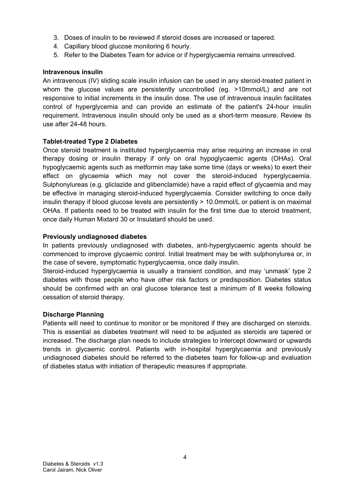- 3. Doses of insulin to be reviewed if steroid doses are increased or tapered.
- 4. Capillary blood glucose monitoring 6 hourly.
- 5. Refer to the Diabetes Team for advice or if hyperglycaemia remains unresolved.

#### Intravenous insulin

An intravenous (IV) sliding scale insulin infusion can be used in any steroid-treated patient in whom the glucose values are persistently uncontrolled (eg. >10mmol/L) and are not responsive to initial increments in the insulin dose. The use of intravenous insulin facilitates control of hyperglycemia and can provide an estimate of the patient's 24-hour insulin requirement. Intravenous insulin should only be used as a short-term measure. Review its use after 24-48 hours.

#### Tablet-treated Type 2 Diabetes

Once steroid treatment is instituted hyperglycaemia may arise requiring an increase in oral therapy dosing or insulin therapy if only on oral hypoglycaemic agents (OHAs). Oral hypoglycaemic agents such as metformin may take some time (days or weeks) to exert their effect on glycaemia which may not cover the steroid-induced hyperglycaemia. Sulphonylureas (e.g. gliclazide and glibenclamide) have a rapid effect of glycaemia and may be effective in managing steroid-induced hyperglycaemia. Consider switching to once daily insulin therapy if blood glucose levels are persistently > 10.0mmol/L or patient is on maximal OHAs. If patients need to be treated with insulin for the first time due to steroid treatment, once daily Human Mixtard 30 or Insulatard should be used.

#### Previously undiagnosed diabetes

In patients previously undiagnosed with diabetes, anti-hyperglycaemic agents should be commenced to improve glycaemic control. Initial treatment may be with sulphonylurea or, in the case of severe, symptomatic hyperglycaemia, once daily insulin.

Steroid-induced hyperglycaemia is usually a transient condition, and may 'unmask' type 2 diabetes with those people who have other risk factors or predisposition. Diabetes status should be confirmed with an oral glucose tolerance test a minimum of 8 weeks following cessation of steroid therapy.

#### Discharge Planning

Patients will need to continue to monitor or be monitored if they are discharged on steroids. This is essential as diabetes treatment will need to be adjusted as steroids are tapered or increased. The discharge plan needs to include strategies to intercept downward or upwards trends in glycaemic control. Patients with in-hospital hyperglycaemia and previously undiagnosed diabetes should be referred to the diabetes team for follow-up and evaluation of diabetes status with initiation of therapeutic measures if appropriate.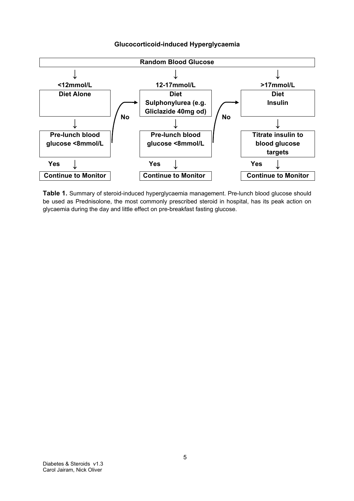

#### Glucocorticoid-induced Hyperglycaemia

Table 1. Summary of steroid-induced hyperglycaemia management. Pre-lunch blood glucose should be used as Prednisolone, the most commonly prescribed steroid in hospital, has its peak action on glycaemia during the day and little effect on pre-breakfast fasting glucose.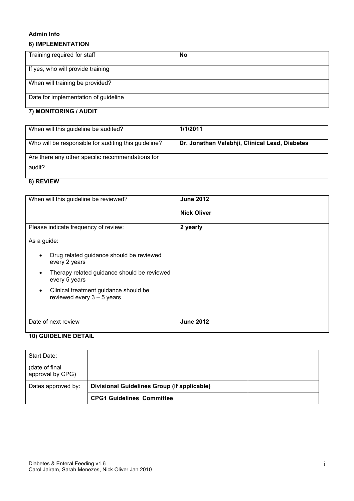#### Admin Info

#### 6) IMPLEMENTATION

| Training required for staff          | No |
|--------------------------------------|----|
| If yes, who will provide training    |    |
| When will training be provided?      |    |
| Date for implementation of guideline |    |

#### 7) MONITORING / AUDIT

| When will this guideline be audited?                 | 1/1/2011                                       |
|------------------------------------------------------|------------------------------------------------|
|                                                      |                                                |
| Who will be responsible for auditing this guideline? | Dr. Jonathan Valabhji, Clinical Lead, Diabetes |
|                                                      |                                                |
| Are there any other specific recommendations for     |                                                |
| audit?                                               |                                                |
|                                                      |                                                |
|                                                      |                                                |

## 8) REVIEW

| When will this guideline be reviewed?                                 | <b>June 2012</b><br><b>Nick Oliver</b> |
|-----------------------------------------------------------------------|----------------------------------------|
| Please indicate frequency of review:<br>As a guide:                   | 2 yearly                               |
|                                                                       |                                        |
| Drug related guidance should be reviewed<br>every 2 years             |                                        |
| Therapy related guidance should be reviewed<br>every 5 years          |                                        |
| Clinical treatment guidance should be<br>reviewed every $3 - 5$ years |                                        |
| Date of next review                                                   | <b>June 2012</b>                       |

# 10) GUIDELINE DETAIL

| Start Date:                        |                                             |  |
|------------------------------------|---------------------------------------------|--|
| (date of final<br>approval by CPG) |                                             |  |
| Dates approved by:                 | Divisional Guidelines Group (if applicable) |  |
|                                    | <b>CPG1 Guidelines Committee</b>            |  |